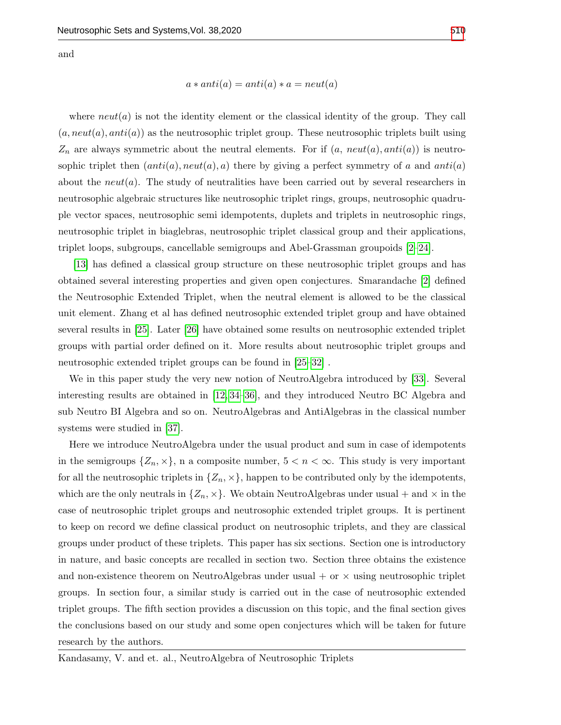and

 $a * anti(a) = anti(a) * a = neut(a)$ 

where  $neut(a)$  is not the identity element or the classical identity of the group. They call  $(a, neut(a), anti(a))$  as the neutrosophic triplet group. These neutrosophic triplets built using  $Z_n$  are always symmetric about the neutral elements. For if  $(a, neut(a), anti(a))$  is neutrosophic triplet then  $(anti(a), neut(a), a)$  there by giving a perfect symmetry of a and anti(a) about the  $neut(a)$ . The study of neutralities have been carried out by several researchers in neutrosophic algebraic structures like neutrosophic triplet rings, groups, neutrosophic quadruple vector spaces, neutrosophic semi idempotents, duplets and triplets in neutrosophic rings, neutrosophic triplet in biaglebras, neutrosophic triplet classical group and their applications, triplet loops, subgroups, cancellable semigroups and Abel-Grassman groupoids [\[2–](#page-12-0)[24\]](#page-13-0).

[\[13\]](#page-13-1) has defined a classical group structure on these neutrosophic triplet groups and has obtained several interesting properties and given open conjectures. Smarandache [\[2\]](#page-12-0) defined the Neutrosophic Extended Triplet, when the neutral element is allowed to be the classical unit element. Zhang et al has defined neutrosophic extended triplet group and have obtained several results in [\[25\]](#page-13-2). Later [\[26\]](#page-13-3) have obtained some results on neutrosophic extended triplet groups with partial order defined on it. More results about neutrosophic triplet groups and neutrosophic extended triplet groups can be found in [\[25–](#page-13-2)[32\]](#page-14-1) .

We in this paper study the very new notion of NeutroAlgebra introduced by [\[33\]](#page-14-2). Several interesting results are obtained in [\[12,](#page-13-4) [34–](#page-14-3)[36\]](#page-14-4), and they introduced Neutro BC Algebra and sub Neutro BI Algebra and so on. NeutroAlgebras and AntiAlgebras in the classical number systems were studied in [\[37\]](#page-14-5).

Here we introduce NeutroAlgebra under the usual product and sum in case of idempotents in the semigroups  $\{Z_n, \times\}$ , n a composite number,  $5 < n < \infty$ . This study is very important for all the neutrosophic triplets in  $\{Z_n, \times\}$ , happen to be contributed only by the idempotents, which are the only neutrals in  $\{Z_n, \times\}$ . We obtain NeutroAlgebras under usual + and  $\times$  in the case of neutrosophic triplet groups and neutrosophic extended triplet groups. It is pertinent to keep on record we define classical product on neutrosophic triplets, and they are classical groups under product of these triplets. This paper has six sections. Section one is introductory in nature, and basic concepts are recalled in section two. Section three obtains the existence and non-existence theorem on NeutroAlgebras under usual  $+$  or  $\times$  using neutrosophic triplet groups. In section four, a similar study is carried out in the case of neutrosophic extended triplet groups. The fifth section provides a discussion on this topic, and the final section gives the conclusions based on our study and some open conjectures which will be taken for future research by the authors.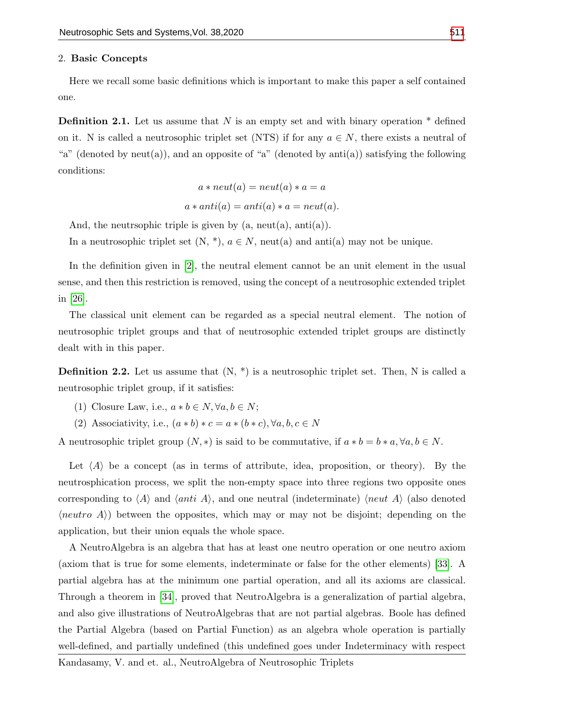### 2. Basic Concepts

Here we recall some basic definitions which is important to make this paper a self contained one.

**Definition 2.1.** Let us assume that  $N$  is an empty set and with binary operation  $*$  defined on it. N is called a neutrosophic triplet set (NTS) if for any  $a \in N$ , there exists a neutral of "a" (denoted by neut(a)), and an opposite of "a" (denoted by anti(a)) satisfying the following conditions:

$$
a * \mathit{neut}(a) = \mathit{neut}(a) * a = a
$$

$$
a * anti(a) = anti(a) * a = neut(a).
$$

And, the neutrophic triple is given by  $(a, neut(a), anti(a)).$ 

In a neutrosophic triplet set  $(N, *), a \in N$ , neut(a) and anti(a) may not be unique.

In the definition given in [\[2\]](#page-12-0), the neutral element cannot be an unit element in the usual sense, and then this restriction is removed, using the concept of a neutrosophic extended triplet in [\[26\]](#page-13-3).

The classical unit element can be regarded as a special neutral element. The notion of neutrosophic triplet groups and that of neutrosophic extended triplet groups are distinctly dealt with in this paper.

**Definition 2.2.** Let us assume that  $(N, * )$  is a neutrosophic triplet set. Then, N is called a neutrosophic triplet group, if it satisfies:

- (1) Closure Law, i.e.,  $a * b \in N$ ,  $\forall a, b \in N$ ;
- (2) Associativity, i.e.,  $(a * b) * c = a * (b * c), \forall a, b, c \in N$

A neutrosophic triplet group  $(N, *)$  is said to be commutative, if  $a * b = b * a, \forall a, b \in N$ .

Let  $\langle A \rangle$  be a concept (as in terms of attribute, idea, proposition, or theory). By the neutrosphication process, we split the non-empty space into three regions two opposite ones corresponding to  $\langle A \rangle$  and  $\langle$ anti A $\rangle$ , and one neutral (indeterminate)  $\langle$ neut A $\rangle$  (also denoted  $\langle neutron \,A \rangle$  between the opposites, which may or may not be disjoint; depending on the application, but their union equals the whole space.

A NeutroAlgebra is an algebra that has at least one neutro operation or one neutro axiom (axiom that is true for some elements, indeterminate or false for the other elements) [\[33\]](#page-14-2). A partial algebra has at the minimum one partial operation, and all its axioms are classical. Through a theorem in [\[34\]](#page-14-3), proved that NeutroAlgebra is a generalization of partial algebra, and also give illustrations of NeutroAlgebras that are not partial algebras. Boole has defined the Partial Algebra (based on Partial Function) as an algebra whole operation is partially well-defined, and partially undefined (this undefined goes under Indeterminacy with respect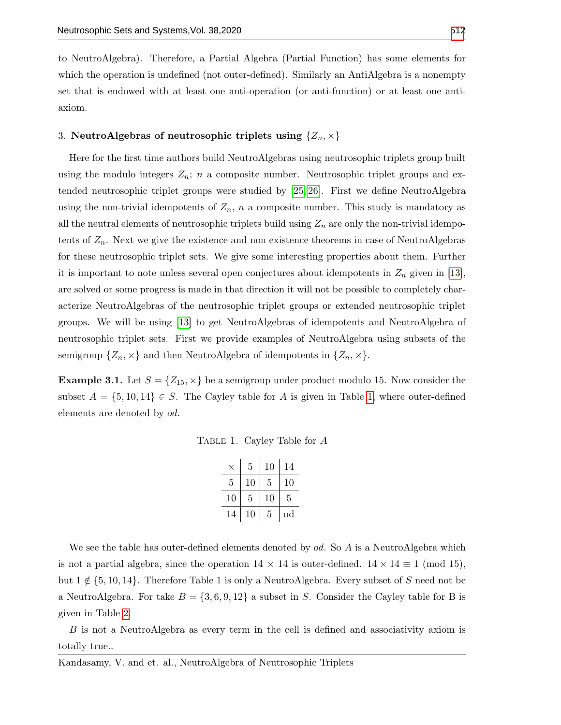to NeutroAlgebra). Therefore, a Partial Algebra (Partial Function) has some elements for which the operation is undefined (not outer-defined). Similarly an AntiAlgebra is a nonempty set that is endowed with at least one anti-operation (or anti-function) or at least one antiaxiom.

# 3. NeutroAlgebras of neutrosophic triplets using  $\{Z_n, \times\}$

Here for the first time authors build NeutroAlgebras using neutrosophic triplets group built using the modulo integers  $Z_n$ ; n a composite number. Neutrosophic triplet groups and extended neutrosophic triplet groups were studied by [\[25,](#page-13-2) [26\]](#page-13-3). First we define NeutroAlgebra using the non-trivial idempotents of  $Z_n$ , n a composite number. This study is mandatory as all the neutral elements of neutrosophic triplets build using  $Z_n$  are only the non-trivial idempotents of  $Z_n$ . Next we give the existence and non existence theorems in case of NeutroAlgebras for these neutrosophic triplet sets. We give some interesting properties about them. Further it is important to note unless several open conjectures about idempotents in  $Z_n$  given in [\[13\]](#page-13-1), are solved or some progress is made in that direction it will not be possible to completely characterize NeutroAlgebras of the neutrosophic triplet groups or extended neutrosophic triplet groups. We will be using [\[13\]](#page-13-1) to get NeutroAlgebras of idempotents and NeutroAlgebra of neutrosophic triplet sets. First we provide examples of NeutroAlgebra using subsets of the semigroup  $\{Z_n, \times\}$  and then NeutroAlgebra of idempotents in  $\{Z_n, \times\}$ .

<span id="page-3-0"></span>**Example 3.1.** Let  $S = \{Z_{15}, \times\}$  be a semigroup under product modulo 15. Now consider the subset  $A = \{5, 10, 14\} \in S$ . The Cayley table for A is given in Table [1,](#page-3-0) where outer-defined elements are denoted by od.

Table 1. Cayley Table for A

| $\times$ | 5  | 10 | 14       |
|----------|----|----|----------|
| 5        | 10 | 5  | 10       |
| $10\,$   | 5  | 10 | 5        |
| 14       | 10 | 5  | $\rm od$ |

We see the table has outer-defined elements denoted by  $od$ . So A is a NeutroAlgebra which is not a partial algebra, since the operation  $14 \times 14$  is outer-defined.  $14 \times 14 \equiv 1 \pmod{15}$ , but  $1 \notin \{5, 10, 14\}$ . Therefore Table 1 is only a NeutroAlgebra. Every subset of S need not be a NeutroAlgebra. For take  $B = \{3, 6, 9, 12\}$  a subset in S. Consider the Cayley table for B is given in Table [2.](#page-4-0)

B is not a NeutroAlgebra as every term in the cell is defined and associativity axiom is totally true..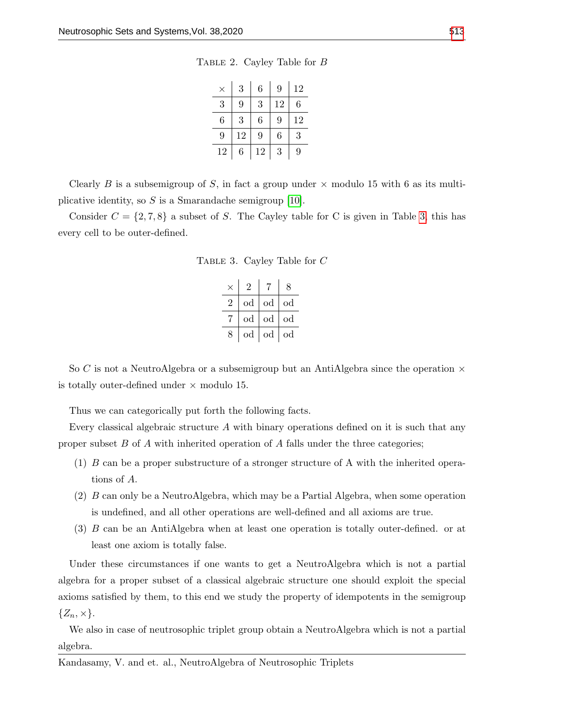| TABLE 2. Cayley Table for $B$ |  |  |  |
|-------------------------------|--|--|--|
|                               |  |  |  |

| $\times$ | 3  | 6  | 9  | 12 |
|----------|----|----|----|----|
| 3        | 9  | 3  | 12 | 6  |
| 6        | 3  | 6  | 9  | 12 |
| 9        | 12 | 9  | 6  | 3  |
| 12       | 6  | 12 | 3  | 9  |

<span id="page-4-0"></span>Clearly B is a subsemigroup of S, in fact a group under  $\times$  modulo 15 with 6 as its multiplicative identity, so  $S$  is a Smarandache semigroup [\[10\]](#page-12-1).

<span id="page-4-1"></span>Consider  $C = \{2, 7, 8\}$  a subset of S. The Cayley table for C is given in Table [3,](#page-4-1) this has every cell to be outer-defined.

| TABLE 3. Cayley Table for $C$ |  |  |  |
|-------------------------------|--|--|--|
|                               |  |  |  |

| $\times$ | 2           | 7  | 8           |
|----------|-------------|----|-------------|
| 2        | od          | od | od          |
|          | od          | od | $_{\rm od}$ |
| 8        | $_{\rm od}$ | od | od          |

So C is not a NeutroAlgebra or a subsemigroup but an AntiAlgebra since the operation  $\times$ is totally outer-defined under  $\times$  modulo 15.

Thus we can categorically put forth the following facts.

Every classical algebraic structure  $A$  with binary operations defined on it is such that any proper subset  $B$  of  $A$  with inherited operation of  $A$  falls under the three categories;

- (1) B can be a proper substructure of a stronger structure of A with the inherited operations of A.
- (2) B can only be a NeutroAlgebra, which may be a Partial Algebra, when some operation is undefined, and all other operations are well-defined and all axioms are true.
- (3) B can be an AntiAlgebra when at least one operation is totally outer-defined. or at least one axiom is totally false.

Under these circumstances if one wants to get a NeutroAlgebra which is not a partial algebra for a proper subset of a classical algebraic structure one should exploit the special axioms satisfied by them, to this end we study the property of idempotents in the semigroup  $\{Z_n, \times\}.$ 

We also in case of neutrosophic triplet group obtain a NeutroAlgebra which is not a partial algebra.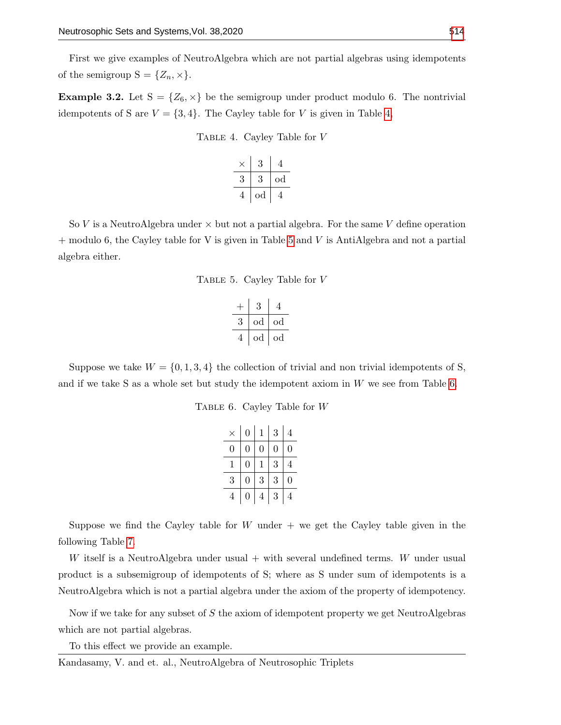First we give examples of NeutroAlgebra which are not partial algebras using idempotents of the semigroup  $S = \{Z_n, \times\}.$ 

<span id="page-5-0"></span>**Example 3.2.** Let  $S = \{Z_6, \times\}$  be the semigroup under product modulo 6. The nontrivial idempotents of S are  $V = \{3, 4\}$ . The Cayley table for V is given in Table [4,](#page-5-0)

Table 4. Cayley Table for V

| 3  | 4           |
|----|-------------|
|    | $_{\rm od}$ |
| od | 4           |

<span id="page-5-1"></span>So V is a NeutroAlgebra under  $\times$  but not a partial algebra. For the same V define operation  $+$  modulo 6, the Cayley table for V is given in Table [5](#page-5-1) and V is AntiAlgebra and not a partial algebra either.

Table 5. Cayley Table for V

$$
\begin{array}{c|c|c}\n+ & 3 & 4 \\
\hline\n3 & \text{od} & \text{od} \\
\hline\n4 & \text{od} & \text{od} \\
\end{array}
$$

<span id="page-5-2"></span>Suppose we take  $W = \{0, 1, 3, 4\}$  the collection of trivial and non trivial idempotents of S, and if we take S as a whole set but study the idempotent axiom in  $W$  we see from Table [6.](#page-5-2)

Table 6. Cayley Table for W

|   | $\Omega$       | $\mathbf{1}$ | 3 | 4 |
|---|----------------|--------------|---|---|
| 0 | $\overline{0}$ | 0            | 0 | 0 |
| 1 | $\overline{0}$ | 1            | 3 | 4 |
| 3 | $\overline{0}$ | 3            | 3 | 0 |
| 4 | 0              | 4            | 3 | 4 |

Suppose we find the Cayley table for  $W$  under  $+$  we get the Cayley table given in the following Table [7.](#page-6-0)

W itself is a NeutroAlgebra under usual  $+$  with several undefined terms. W under usual product is a subsemigroup of idempotents of S; where as S under sum of idempotents is a NeutroAlgebra which is not a partial algebra under the axiom of the property of idempotency.

Now if we take for any subset of S the axiom of idempotent property we get NeutroAlgebras which are not partial algebras.

To this effect we provide an example.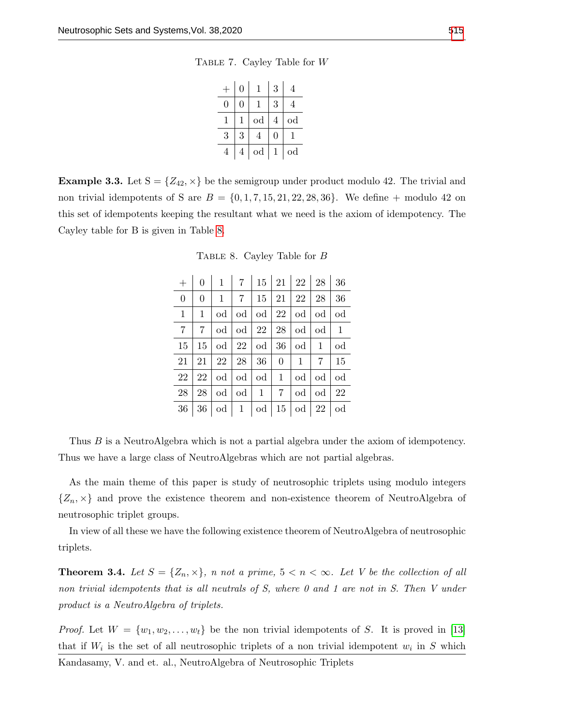Table 7. Cayley Table for W

|   | 0 |             | 3 |             |
|---|---|-------------|---|-------------|
|   | 0 |             | 3 |             |
|   |   | $_{\rm od}$ | 4 | $_{\rm od}$ |
| 3 | 3 |             | 0 |             |
| 4 | 4 | $\rm od$    |   | $_{\rm od}$ |

<span id="page-6-1"></span><span id="page-6-0"></span>**Example 3.3.** Let  $S = \{Z_{42}, \times\}$  be the semigroup under product modulo 42. The trivial and non trivial idempotents of S are  $B = \{0, 1, 7, 15, 21, 22, 28, 36\}$ . We define  $+$  modulo 42 on this set of idempotents keeping the resultant what we need is the axiom of idempotency. The Cayley table for B is given in Table [8.](#page-6-1)

Table 8. Cayley Table for B

|                | $\overline{0}$  |                                                |                 | $1 \mid 7 \mid 15 \mid 21 \mid 22 \mid 28 \mid$           |                 |                              |                                   | 36           |
|----------------|-----------------|------------------------------------------------|-----------------|-----------------------------------------------------------|-----------------|------------------------------|-----------------------------------|--------------|
| $\overline{0}$ | $\overline{0}$  | $\mathbf{1}$                                   | $7\overline{ }$ |                                                           |                 | $15 \mid 21 \mid 22 \mid 28$ |                                   | 36           |
| $\mathbf{1}$   | $\mathbf{1}$    |                                                |                 | od $\vert$ od $\vert$ od $\vert$ 22 $\vert$ od $\vert$ od |                 |                              |                                   | od           |
| 7              | 7               |                                                |                 | od   od   22   28                                         |                 |                              | od   od                           | $\mathbf{1}$ |
| 15             | 15 <sup>2</sup> |                                                |                 | od   22   od                                              | 36              |                              | $od \mid 1$                       | $\rm od$     |
| 21             |                 | $21 \mid 22 \mid 28 \mid 36 \mid$              |                 |                                                           | $\overline{0}$  | $\vert 1 \vert$              | $7\overline{ }$                   | 15           |
| 22             |                 | $22   \text{od}   \text{od}   \text{od}   1  $ |                 |                                                           |                 |                              | od  od                            | od           |
| 28             | 28              |                                                |                 | od   od   1                                               | $7\overline{ }$ | $\rm od$                     | $\vert$ od                        | 22           |
| 36             |                 | $36   \text{od}   1   \text{od}$               |                 |                                                           |                 |                              | $15   \text{od}   22   \text{od}$ |              |
|                |                 |                                                |                 |                                                           |                 |                              |                                   |              |

Thus B is a NeutroAlgebra which is not a partial algebra under the axiom of idempotency. Thus we have a large class of NeutroAlgebras which are not partial algebras.

As the main theme of this paper is study of neutrosophic triplets using modulo integers  $\{Z_n, \times\}$  and prove the existence theorem and non-existence theorem of NeutroAlgebra of neutrosophic triplet groups.

In view of all these we have the following existence theorem of NeutroAlgebra of neutrosophic triplets.

**Theorem 3.4.** Let  $S = \{Z_n, \times\}$ , n not a prime,  $5 < n < \infty$ . Let V be the collection of all non trivial idempotents that is all neutrals of S, where 0 and 1 are not in S. Then V under product is a NeutroAlgebra of triplets.

*Proof.* Let  $W = \{w_1, w_2, \ldots, w_t\}$  be the non trivial idempotents of S. It is proved in [\[13\]](#page-13-1) that if  $W_i$  is the set of all neutrosophic triplets of a non trivial idempotent  $w_i$  in S which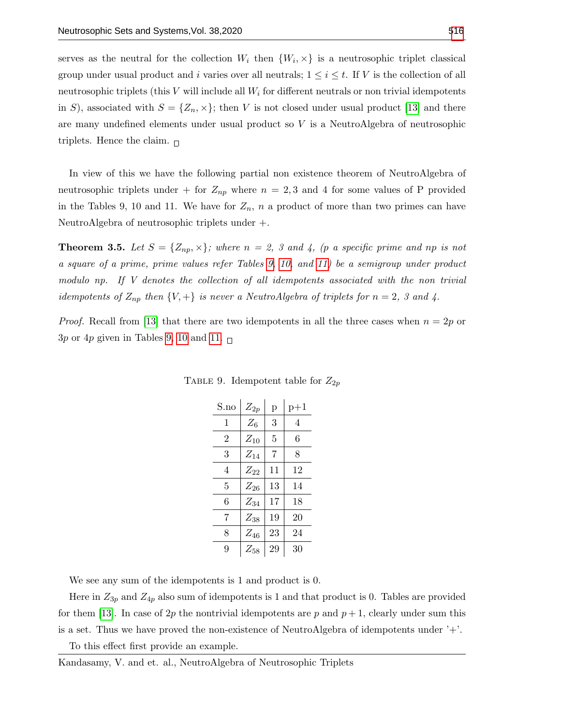serves as the neutral for the collection  $W_i$  then  $\{W_i, \times\}$  is a neutrosophic triplet classical group under usual product and i varies over all neutrals;  $1 \leq i \leq t$ . If V is the collection of all neutrosophic triplets (this  $V$  will include all  $W_i$  for different neutrals or non trivial idempotents in S), associated with  $S = \{Z_n, \times\}$ ; then V is not closed under usual product [\[13\]](#page-13-1) and there are many undefined elements under usual product so  $V$  is a NeutroAlgebra of neutrosophic triplets. Hence the claim.  $\Box$ 

In view of this we have the following partial non existence theorem of NeutroAlgebra of neutrosophic triplets under + for  $Z_{np}$  where  $n = 2, 3$  and 4 for some values of P provided in the Tables 9, 10 and 11. We have for  $Z_n$ , n a product of more than two primes can have NeutroAlgebra of neutrosophic triplets under +.

**Theorem 3.5.** Let  $S = \{Z_{np}, \times\}$ ; where  $n = 2$ , 3 and 4, (p a specific prime and np is not a square of a prime, prime values refer Tables [9,](#page-7-0) [10,](#page-8-0) and [11\)](#page-8-1) be a semigroup under product modulo np. If V denotes the collection of all idempotents associated with the non trivial idempotents of  $Z_{np}$  then  $\{V, +\}$  is never a NeutroAlgebra of triplets for  $n = 2$ , 3 and 4.

<span id="page-7-0"></span>*Proof.* Recall from [\[13\]](#page-13-1) that there are two idempotents in all the three cases when  $n = 2p$  or  $3p$  or  $4p$  given in Tables [9,](#page-7-0) [10](#page-8-0) and [11.](#page-8-1)  $\Box$ 

| S.no | $Z_{2p}$ | p  | $p+1$ |
|------|----------|----|-------|
| 1    | $Z_6$    | 3  | 4     |
| 2    | $Z_{10}$ | 5  | 6     |
| 3    | $Z_{14}$ | 7  | 8     |
| 4    | $Z_{22}$ | 11 | 12    |
| 5    | $Z_{26}$ | 13 | 14    |
| 6    | $Z_{34}$ | 17 | 18    |
| 7    | $Z_{38}$ | 19 | 20    |
| 8    | $Z_{46}$ | 23 | 24    |
| 9    | $Z_{58}$ | 29 | 30    |

TABLE 9. Idempotent table for  $Z_{2p}$ 

We see any sum of the idempotents is 1 and product is 0.

Here in  $Z_{3p}$  and  $Z_{4p}$  also sum of idempotents is 1 and that product is 0. Tables are provided for them [\[13\]](#page-13-1). In case of 2p the nontrivial idempotents are p and  $p + 1$ , clearly under sum this is a set. Thus we have proved the non-existence of NeutroAlgebra of idempotents under '+'.

To this effect first provide an example.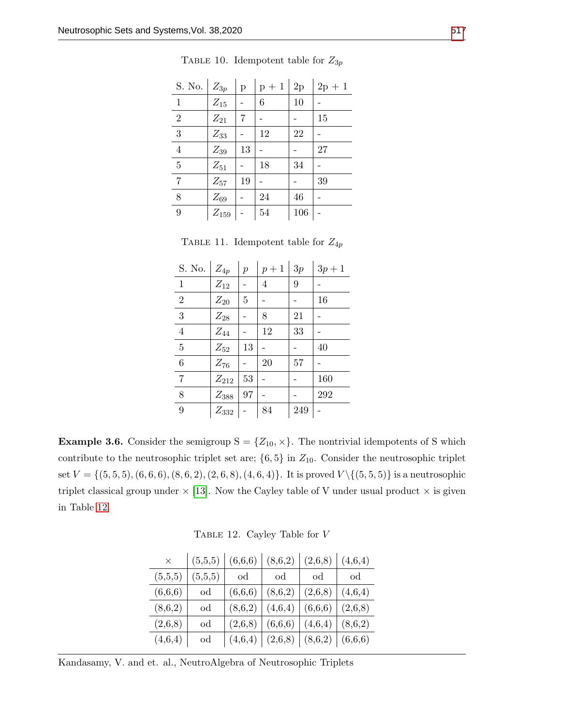<span id="page-8-0"></span>

| S. No. $\mid Z_{3p}$ |             | $\mathbf{p}$ | $p+1 2p$ |     | $2p + 1$ |
|----------------------|-------------|--------------|----------|-----|----------|
| 1                    | $Z_{15}$    |              | 6        | 10  |          |
| $\sqrt{2}$           | $Z_{21}$    | 7            |          |     | 15       |
| 3                    | $Z_{33}$    |              | 12       | 22  |          |
| $\overline{4}$       | $Z_{39}$    | 13           |          |     | 27       |
| $\overline{5}$       | $Z_{51}$    |              | 18       | 34  |          |
| $\overline{7}$       | $Z_{57}$    | 19           |          |     | 39       |
| 8                    | $Z_{69}$    |              | 24       | 46  |          |
| 9                    | $Z_{159}$ - |              | 54       | 106 |          |

TABLE 10. Idempotent table for  $Z_{3p}$ 

TABLE 11. Idempotent table for  $Z_{4p}$ 

<span id="page-8-1"></span>

| S. No. $\mid Z_{4p}$ |                   | $\mathfrak{p}$ | $p+1$ | 3p     | $3p + 1$ |
|----------------------|-------------------|----------------|-------|--------|----------|
| $\mathbf{1}$         | $Z_{12}$          |                | 4     | 9      |          |
| $\overline{2}$       | $\mathbb{Z}_{20}$ | 5              |       |        | 16       |
| 3                    | $Z_{28}$          |                | 8     | $21\,$ |          |
| $\overline{4}$       | $Z_{44}$          |                | 12    | 33     |          |
| $\overline{5}$       | $Z_{52}$          | 13             |       |        | 40       |
| $6\phantom{.}6$      | $Z_{76}$          |                | 20    | 57     |          |
| $\overline{7}$       | $Z_{212}$         | 53             |       |        | 160      |
| 8                    | $Z_{388}$         | 97             |       |        | 292      |
| 9                    | $Z_{332}$         |                | 84    | 249    |          |

<span id="page-8-2"></span>**Example 3.6.** Consider the semigroup  $S = \{Z_{10}, \times\}$ . The nontrivial idempotents of S which contribute to the neutrosophic triplet set are;  $\{6, 5\}$  in  $Z_{10}$ . Consider the neutrosophic triplet set  $V = \{(5, 5, 5), (6, 6, 6), (8, 6, 2), (2, 6, 8), (4, 6, 4)\}.$  It is proved  $V \setminus \{(5, 5, 5)\}\$ is a neutrosophic triplet classical group under  $\times$  [\[13\]](#page-13-1). Now the Cayley table of V under usual product  $\times$  is given in Table [12.](#page-8-2)

Table 12. Cayley Table for V

| $\times$ | (5,5,5) | (6,6,6) | (8,6,2)                                 | (2,6,8) | (4,6,4) |
|----------|---------|---------|-----------------------------------------|---------|---------|
| (5,5,5)  | (5,5,5) | od      | od                                      | od      | od      |
| (6,6,6)  | od      | (6,6,6) | (8,6,2)                                 | (2,6,8) | (4,6,4) |
| (8,6,2)  | od      | (8,6,2) | (4,6,4)                                 | (6,6,6) | (2,6,8) |
| (2,6,8)  | od      | (2,6,8) | (6,6,6)                                 | (4,6,4) | (8,6,2) |
| (4,6,4)  | od      |         | $(4,6,4)$ $(2,6,8)$ $(8,6,2)$ $(6,6,6)$ |         |         |

Kandasamy, V. and et. al., NeutroAlgebra of Neutrosophic Triplets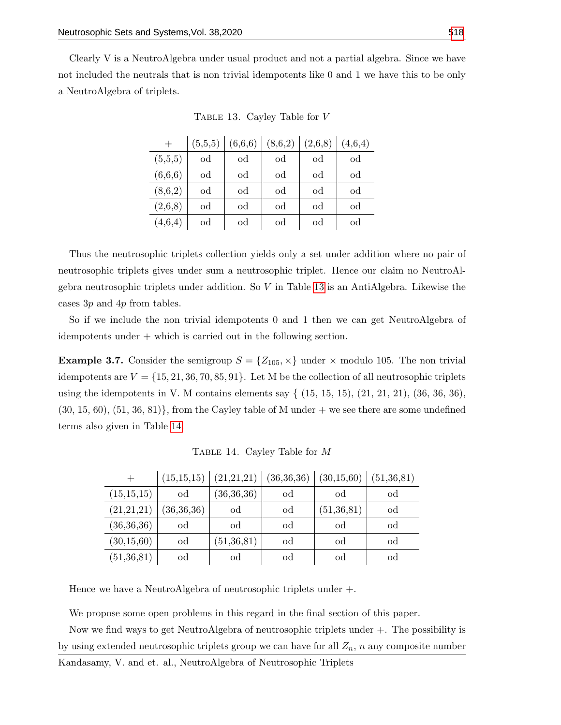<span id="page-9-0"></span>Clearly V is a NeutroAlgebra under usual product and not a partial algebra. Since we have not included the neutrals that is non trivial idempotents like 0 and 1 we have this to be only a NeutroAlgebra of triplets.

|         | (5,5,5) | (6,6,6) | (8,6,2) | (2,6,8) | (4,6,4) |
|---------|---------|---------|---------|---------|---------|
| (5,5,5) | od      | od      | od      | od      | od      |
| (6,6,6) | od      | od      | od      | od      | od      |
| (8,6,2) | od      | od      | od      | od      | od      |
| (2,6,8) | od      | od      | od      | od      | od      |
| (4,6,4) | od      | od      | od      | od      | od      |

Table 13. Cayley Table for V

Thus the neutrosophic triplets collection yields only a set under addition where no pair of neutrosophic triplets gives under sum a neutrosophic triplet. Hence our claim no NeutroAlgebra neutrosophic triplets under addition. So  $V$  in Table [13](#page-9-0) is an AntiAlgebra. Likewise the cases 3p and 4p from tables.

So if we include the non trivial idempotents 0 and 1 then we can get NeutroAlgebra of idempotents under + which is carried out in the following section.

**Example 3.7.** Consider the semigroup  $S = \{Z_{105}, \times\}$  under  $\times$  modulo 105. The non trivial idempotents are  $V = \{15, 21, 36, 70, 85, 91\}$ . Let M be the collection of all neutrosophic triplets using the idempotents in V. M contains elements say  $\{ (15, 15, 15), (21, 21, 21), (36, 36, 36),$  $(30, 15, 60), (51, 36, 81)$ , from the Cayley table of M under  $+$  we see there are some undefined terms also given in Table [14.](#page-9-1)

<span id="page-9-1"></span>

| $^{+}$       | (15, 15, 15) | (21, 21, 21) | (36, 36, 36) | (30, 15, 60) | (51, 36, 81) |
|--------------|--------------|--------------|--------------|--------------|--------------|
| (15, 15, 15) | od           | (36, 36, 36) | od           | od           | od           |
| (21,21,21)   | (36, 36, 36) | od           | od           | (51, 36, 81) | od           |
| (36,36,36)   | od           | od           | od           | od           | od           |
| (30, 15, 60) | od           | (51, 36, 81) | od           | od           | od           |
| (51, 36, 81) | od           | od           | od           | od           | od           |

Table 14. Cayley Table for M

Hence we have a NeutroAlgebra of neutrosophic triplets under +.

We propose some open problems in this regard in the final section of this paper.

Now we find ways to get NeutroAlgebra of neutrosophic triplets under +. The possibility is by using extended neutrosophic triplets group we can have for all  $Z_n$ , n any composite number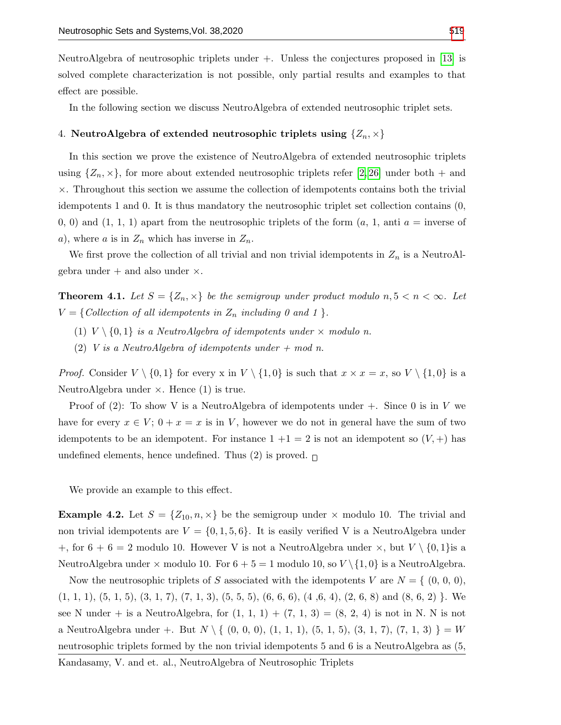NeutroAlgebra of neutrosophic triplets under +. Unless the conjectures proposed in [\[13\]](#page-13-1) is solved complete characterization is not possible, only partial results and examples to that effect are possible.

In the following section we discuss NeutroAlgebra of extended neutrosophic triplet sets.

# 4. NeutroAlgebra of extended neutrosophic triplets using  $\{Z_n, \times\}$

In this section we prove the existence of NeutroAlgebra of extended neutrosophic triplets using  $\{Z_n, \times\}$ , for more about extended neutrosophic triplets refer [\[2,](#page-12-0) [26\]](#page-13-3) under both + and  $\times$ . Throughout this section we assume the collection of idempotents contains both the trivial idempotents 1 and 0. It is thus mandatory the neutrosophic triplet set collection contains (0, 0, 0) and  $(1, 1, 1)$  apart from the neutrosophic triplets of the form  $(a, 1, \text{anti } a = \text{inverse of})$ a), where a is in  $Z_n$  which has inverse in  $Z_n$ .

We first prove the collection of all trivial and non trivial idempotents in  $Z_n$  is a NeutroAlgebra under  $+$  and also under  $\times$ .

**Theorem 4.1.** Let  $S = \{Z_n, \times\}$  be the semigroup under product modulo  $n, 5 < n < \infty$ . Let  $V = \{Collection of all idempotents in Z_n including 0 and 1 \}.$ 

- (1)  $V \setminus \{0,1\}$  is a NeutroAlgebra of idempotents under  $\times$  modulo n.
- (2) V is a NeutroAlgebra of idempotents under  $+$  mod n.

*Proof.* Consider  $V \setminus \{0,1\}$  for every x in  $V \setminus \{1,0\}$  is such that  $x \times x = x$ , so  $V \setminus \{1,0\}$  is a NeutroAlgebra under  $\times$ . Hence (1) is true.

Proof of (2): To show V is a NeutroAlgebra of idempotents under  $+$ . Since 0 is in V we have for every  $x \in V$ ;  $0 + x = x$  is in V, however we do not in general have the sum of two idempotents to be an idempotent. For instance  $1 + 1 = 2$  is not an idempotent so  $(V, +)$  has undefined elements, hence undefined. Thus (2) is proved.  $\Box$ 

We provide an example to this effect.

**Example 4.2.** Let  $S = \{Z_{10}, n, \times\}$  be the semigroup under  $\times$  modulo 10. The trivial and non trivial idempotents are  $V = \{0, 1, 5, 6\}$ . It is easily verified V is a NeutroAlgebra under +, for  $6 + 6 = 2$  modulo 10. However V is not a NeutroAlgebra under  $\times$ , but  $V \setminus \{0,1\}$ is a NeutroAlgebra under  $\times$  modulo 10. For  $6 + 5 = 1$  modulo 10, so  $V \setminus \{1, 0\}$  is a NeutroAlgebra.

Now the neutrosophic triplets of S associated with the idempotents V are  $N = \{ (0, 0, 0),$  $(1, 1, 1), (5, 1, 5), (3, 1, 7), (7, 1, 3), (5, 5, 5), (6, 6, 6), (4, 6, 4), (2, 6, 8)$  and  $(8, 6, 2)$  }. We see N under + is a NeutroAlgebra, for  $(1, 1, 1) + (7, 1, 3) = (8, 2, 4)$  is not in N. N is not a NeutroAlgebra under +. But  $N \setminus \{ (0, 0, 0), (1, 1, 1), (5, 1, 5), (3, 1, 7), (7, 1, 3) \} = W$ neutrosophic triplets formed by the non trivial idempotents 5 and 6 is a NeutroAlgebra as (5,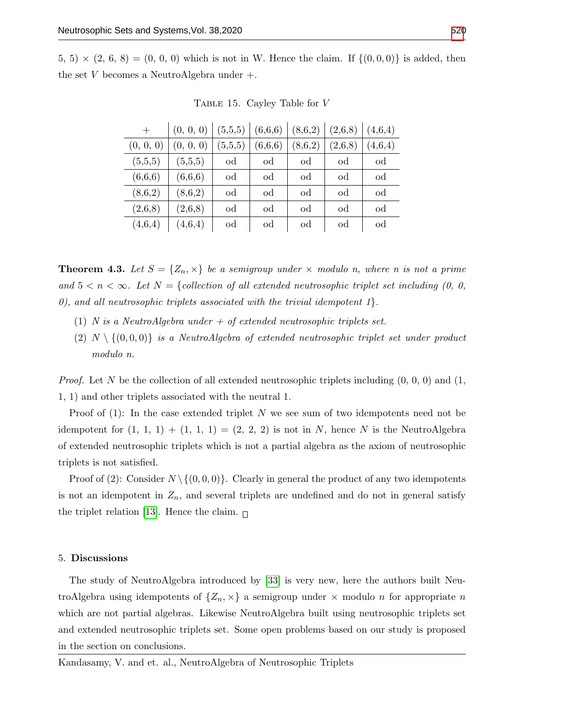5, 5)  $\times$  (2, 6, 8) = (0, 0, 0) which is not in W. Hence the claim. If  $\{(0,0,0)\}\)$  is added, then the set V becomes a NeutroAlgebra under  $+$ .

| $^{+}$    | (0, 0, 0) | (5,5,5)     | (6,6,6) | (8,6,2) | (2,6,8) | (4,6,4) |
|-----------|-----------|-------------|---------|---------|---------|---------|
| (0, 0, 0) | (0, 0, 0) | (5,5,5)     | (6,6,6) | (8,6,2) | (2,6,8) | (4,6,4) |
| (5,5,5)   | (5,5,5)   | od          | od      | od      | od      | od      |
| (6,6,6)   | (6,6,6)   | od          | od      | od      | od      | od      |
| (8,6,2)   | (8,6,2)   | od          | od      | od      | od      | od      |
| (2,6,8)   | (2,6,8)   | od          | od      | od      | od      | od      |
| (4,6,4)   | (4,6,4)   | $_{\rm od}$ | od      | od      | od      | od      |

Table 15. Cayley Table for V

**Theorem 4.3.** Let  $S = \{Z_n, \times\}$  be a semigroup under  $\times$  modulo n, where n is not a prime and  $5 < n < \infty$ . Let  $N = \{collection of all extended neutrosophic triplet set including (0, 0, 0)$ 0), and all neutrosophic triplets associated with the trivial idempotent  $1$ .

- (1) N is a NeutroAlgebra under  $+$  of extended neutrosophic triplets set.
- (2)  $N \setminus \{(0,0,0)\}\$ is a NeutroAlgebra of extended neutrosophic triplet set under product modulo n.

*Proof.* Let N be the collection of all extended neutrosophic triplets including  $(0, 0, 0)$  and  $(1, 0, 0)$ 1, 1) and other triplets associated with the neutral 1.

Proof of  $(1)$ : In the case extended triplet N we see sum of two idempotents need not be idempotent for  $(1, 1, 1) + (1, 1, 1) = (2, 2, 2)$  is not in N, hence N is the NeutroAlgebra of extended neutrosophic triplets which is not a partial algebra as the axiom of neutrosophic triplets is not satisfied.

Proof of (2): Consider  $N \setminus \{(0, 0, 0)\}$ . Clearly in general the product of any two idempotents is not an idempotent in  $Z_n$ , and several triplets are undefined and do not in general satisfy the triplet relation [\[13\]](#page-13-1). Hence the claim.  $\Box$ 

## 5. Discussions

The study of NeutroAlgebra introduced by [\[33\]](#page-14-2) is very new, here the authors built NeutroAlgebra using idempotents of  $\{Z_n, \times\}$  a semigroup under  $\times$  modulo n for appropriate n which are not partial algebras. Likewise NeutroAlgebra built using neutrosophic triplets set and extended neutrosophic triplets set. Some open problems based on our study is proposed in the section on conclusions.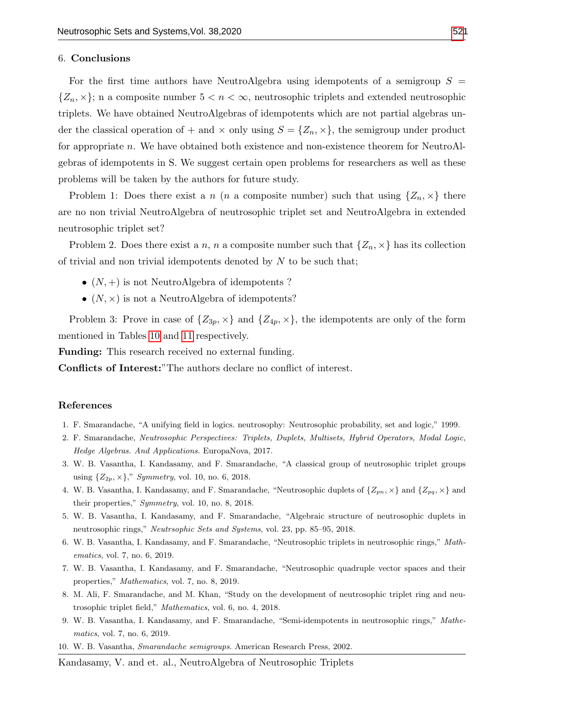### 6. Conclusions

For the first time authors have NeutroAlgebra using idempotents of a semigroup  $S =$  $\{Z_n, \times\}$ ; n a composite number  $5 < n < \infty$ , neutrosophic triplets and extended neutrosophic triplets. We have obtained NeutroAlgebras of idempotents which are not partial algebras under the classical operation of  $+$  and  $\times$  only using  $S = \{Z_n, \times\}$ , the semigroup under product for appropriate n. We have obtained both existence and non-existence theorem for NeutroAlgebras of idempotents in S. We suggest certain open problems for researchers as well as these problems will be taken by the authors for future study.

Problem 1: Does there exist a n (n a composite number) such that using  $\{Z_n, \times\}$  there are no non trivial NeutroAlgebra of neutrosophic triplet set and NeutroAlgebra in extended neutrosophic triplet set?

Problem 2. Does there exist a n, n a composite number such that  $\{Z_n, \times\}$  has its collection of trivial and non trivial idempotents denoted by  $N$  to be such that;

- $(N,+)$  is not NeutroAlgebra of idempotents ?
- $(N, \times)$  is not a NeutroAlgebra of idempotents?

Problem 3: Prove in case of  $\{Z_{3p},\times\}$  and  $\{Z_{4p},\times\}$ , the idempotents are only of the form mentioned in Tables [10](#page-8-0) and [11](#page-8-1) respectively.

Funding: This research received no external funding.

Conflicts of Interest:"The authors declare no conflict of interest.

#### References

- 1. F. Smarandache, "A unifying field in logics. neutrosophy: Neutrosophic probability, set and logic," 1999.
- <span id="page-12-0"></span>2. F. Smarandache, Neutrosophic Perspectives: Triplets, Duplets, Multisets, Hybrid Operators, Modal Logic, Hedge Algebras. And Applications. EuropaNova, 2017.
- 3. W. B. Vasantha, I. Kandasamy, and F. Smarandache, "A classical group of neutrosophic triplet groups using  $\{Z_{2p},\times\}$ ," *Symmetry*, vol. 10, no. 6, 2018.
- 4. W. B. Vasantha, I. Kandasamy, and F. Smarandache, "Neutrosophic duplets of  $\{Z_{pn},\times\}$  and  $\{Z_{pq},\times\}$  and their properties," Symmetry, vol. 10, no. 8, 2018.
- 5. W. B. Vasantha, I. Kandasamy, and F. Smarandache, "Algebraic structure of neutrosophic duplets in neutrosophic rings," Neutrsophic Sets and Systems, vol. 23, pp. 85–95, 2018.
- 6. W. B. Vasantha, I. Kandasamy, and F. Smarandache, "Neutrosophic triplets in neutrosophic rings," Mathematics, vol. 7, no. 6, 2019.
- 7. W. B. Vasantha, I. Kandasamy, and F. Smarandache, "Neutrosophic quadruple vector spaces and their properties," Mathematics, vol. 7, no. 8, 2019.
- 8. M. Ali, F. Smarandache, and M. Khan, "Study on the development of neutrosophic triplet ring and neutrosophic triplet field," Mathematics, vol. 6, no. 4, 2018.
- 9. W. B. Vasantha, I. Kandasamy, and F. Smarandache, "Semi-idempotents in neutrosophic rings," Mathematics, vol. 7, no. 6, 2019.
- <span id="page-12-1"></span>10. W. B. Vasantha, Smarandache semigroups. American Research Press, 2002.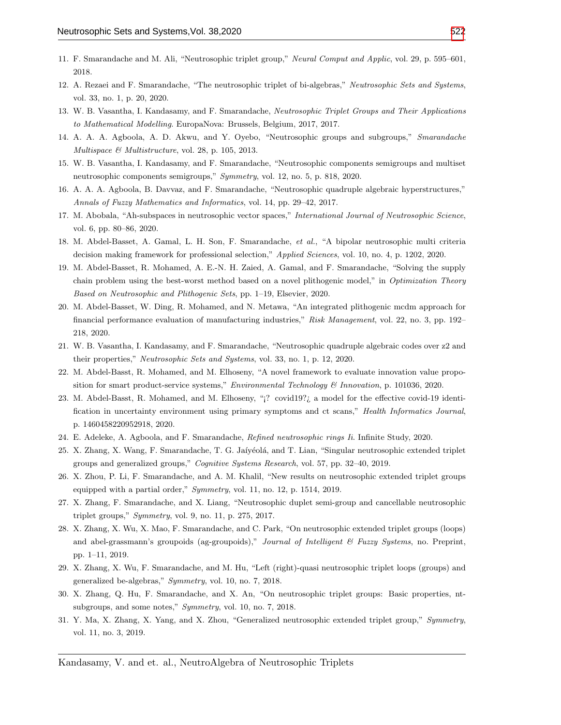- 11. F. Smarandache and M. Ali, "Neutrosophic triplet group," Neural Comput and Applic, vol. 29, p. 595–601, 2018.
- <span id="page-13-4"></span>12. A. Rezaei and F. Smarandache, "The neutrosophic triplet of bi-algebras," Neutrosophic Sets and Systems, vol. 33, no. 1, p. 20, 2020.
- <span id="page-13-1"></span>13. W. B. Vasantha, I. Kandasamy, and F. Smarandache, Neutrosophic Triplet Groups and Their Applications to Mathematical Modelling. EuropaNova: Brussels, Belgium, 2017, 2017.
- 14. A. A. A. Agboola, A. D. Akwu, and Y. Oyebo, "Neutrosophic groups and subgroups," Smarandache Multispace & Multistructure, vol. 28, p. 105, 2013.
- 15. W. B. Vasantha, I. Kandasamy, and F. Smarandache, "Neutrosophic components semigroups and multiset neutrosophic components semigroups," Symmetry, vol. 12, no. 5, p. 818, 2020.
- 16. A. A. A. Agboola, B. Davvaz, and F. Smarandache, "Neutrosophic quadruple algebraic hyperstructures," Annals of Fuzzy Mathematics and Informatics, vol. 14, pp. 29–42, 2017.
- 17. M. Abobala, "Ah-subspaces in neutrosophic vector spaces," International Journal of Neutrosophic Science, vol. 6, pp. 80–86, 2020.
- 18. M. Abdel-Basset, A. Gamal, L. H. Son, F. Smarandache, et al., "A bipolar neutrosophic multi criteria decision making framework for professional selection," Applied Sciences, vol. 10, no. 4, p. 1202, 2020.
- 19. M. Abdel-Basset, R. Mohamed, A. E.-N. H. Zaied, A. Gamal, and F. Smarandache, "Solving the supply chain problem using the best-worst method based on a novel plithogenic model," in Optimization Theory Based on Neutrosophic and Plithogenic Sets, pp. 1–19, Elsevier, 2020.
- 20. M. Abdel-Basset, W. Ding, R. Mohamed, and N. Metawa, "An integrated plithogenic mcdm approach for financial performance evaluation of manufacturing industries," Risk Management, vol. 22, no. 3, pp. 192– 218, 2020.
- 21. W. B. Vasantha, I. Kandasamy, and F. Smarandache, "Neutrosophic quadruple algebraic codes over z2 and their properties," Neutrosophic Sets and Systems, vol. 33, no. 1, p. 12, 2020.
- 22. M. Abdel-Basst, R. Mohamed, and M. Elhoseny, "A novel framework to evaluate innovation value proposition for smart product-service systems," *Environmental Technology*  $\mathscr$  *Innovation*, p. 101036, 2020.
- 23. M. Abdel-Basst, R. Mohamed, and M. Elhoseny, "¡? covid19?¿ a model for the effective covid-19 identification in uncertainty environment using primary symptoms and ct scans," Health Informatics Journal, p. 1460458220952918, 2020.
- <span id="page-13-0"></span>24. E. Adeleke, A. Agboola, and F. Smarandache, Refined neutrosophic rings Ii. Infinite Study, 2020.
- <span id="page-13-2"></span>25. X. Zhang, X. Wang, F. Smarandache, T. G. Jaíyéolá, and T. Lian, "Singular neutrosophic extended triplet groups and generalized groups," Cognitive Systems Research, vol. 57, pp. 32–40, 2019.
- <span id="page-13-3"></span>26. X. Zhou, P. Li, F. Smarandache, and A. M. Khalil, "New results on neutrosophic extended triplet groups equipped with a partial order," Symmetry, vol. 11, no. 12, p. 1514, 2019.
- 27. X. Zhang, F. Smarandache, and X. Liang, "Neutrosophic duplet semi-group and cancellable neutrosophic triplet groups," Symmetry, vol. 9, no. 11, p. 275, 2017.
- 28. X. Zhang, X. Wu, X. Mao, F. Smarandache, and C. Park, "On neutrosophic extended triplet groups (loops) and abel-grassmann's groupoids (ag-groupoids)," Journal of Intelligent  $\mathcal C$  Fuzzy Systems, no. Preprint, pp. 1–11, 2019.
- 29. X. Zhang, X. Wu, F. Smarandache, and M. Hu, "Left (right)-quasi neutrosophic triplet loops (groups) and generalized be-algebras," Symmetry, vol. 10, no. 7, 2018.
- 30. X. Zhang, Q. Hu, F. Smarandache, and X. An, "On neutrosophic triplet groups: Basic properties, ntsubgroups, and some notes," Symmetry, vol. 10, no. 7, 2018.
- 31. Y. Ma, X. Zhang, X. Yang, and X. Zhou, "Generalized neutrosophic extended triplet group," Symmetry, vol. 11, no. 3, 2019.